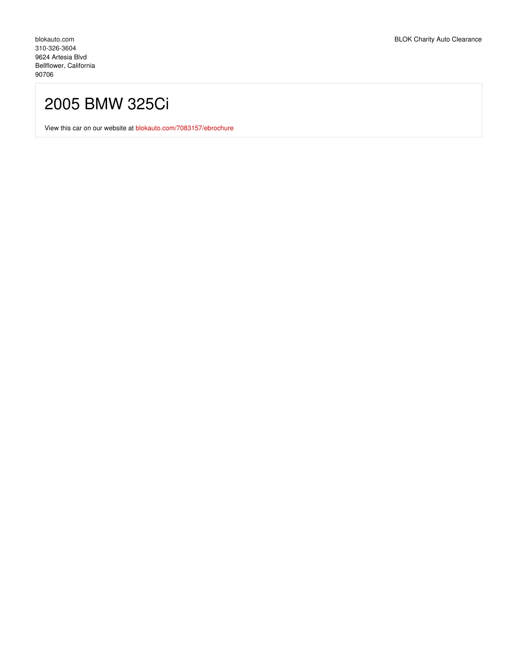## 2005 BMW 325Ci

View this car on our website at [blokauto.com/7083157/ebrochure](https://blokauto.com/vehicle/7083157/2005-bmw-325ci-bellflower-california-90706/7083157/ebrochure)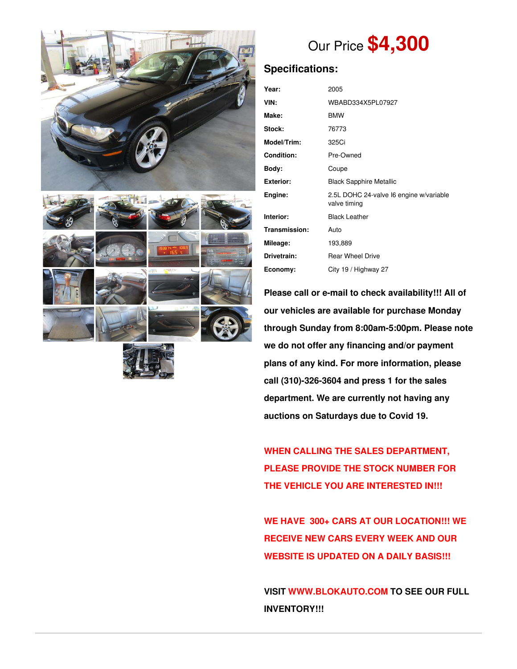





# Our Price **\$4,300**

## **Specifications:**

| Year:             | 2005                                                    |
|-------------------|---------------------------------------------------------|
| VIN:              | WBABD334X5PL07927                                       |
| Make:             | <b>BMW</b>                                              |
| Stock:            | 76773                                                   |
| Model/Trim:       | 325Ci                                                   |
| <b>Condition:</b> | Pre-Owned                                               |
| Body:             | Coupe                                                   |
| <b>Exterior:</b>  | <b>Black Sapphire Metallic</b>                          |
| Engine:           | 2.5L DOHC 24-valve I6 engine w/variable<br>valve timing |
| Interior:         | <b>Black Leather</b>                                    |
| Transmission:     | Auto                                                    |
| Mileage:          | 193,889                                                 |
| Drivetrain:       | <b>Rear Wheel Drive</b>                                 |
| Economy:          | City 19 / Highway 27                                    |

**Please call or e-mail to check availability!!! All of our vehicles are available for purchase Monday through Sunday from 8:00am-5:00pm. Please note we do not offer any financing and/or payment plans of any kind. For more information, please call (310)-326-3604 and press 1 for the sales department. We are currently not having any auctions on Saturdays due to Covid 19.**

**WHEN CALLING THE SALES DEPARTMENT, PLEASE PROVIDE THE STOCK NUMBER FOR THE VEHICLE YOU ARE INTERESTED IN!!!**

**WE HAVE 300+ CARS AT OUR LOCATION!!! WE RECEIVE NEW CARS EVERY WEEK AND OUR WEBSITE IS UPDATED ON A DAILY BASIS!!!**

**VISIT [WWW.BLOKAUTO.COM](http://www.blockauto.com) TO SEE OUR FULL INVENTORY!!!**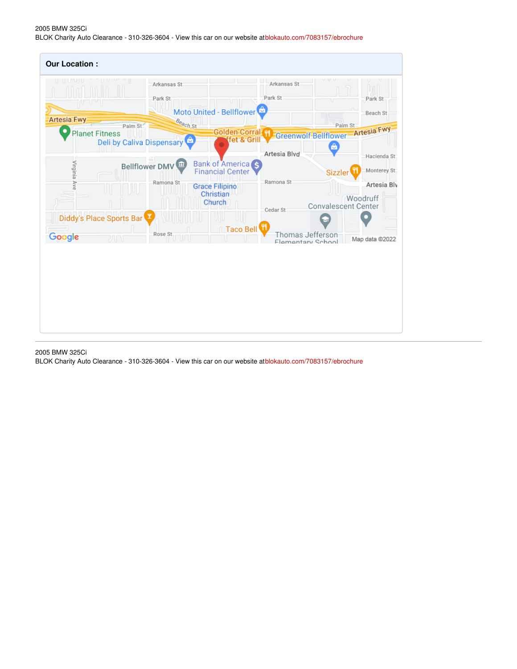#### 2005 BMW 325Ci BLOK Charity Auto Clearance - 310-326-3604 - View this car on our website at[blokauto.com/7083157/ebrochure](https://blokauto.com/vehicle/7083157/2005-bmw-325ci-bellflower-california-90706/7083157/ebrochure)



#### 2005 BMW 325Ci

BLOK Charity Auto Clearance - 310-326-3604 - View this car on our website at[blokauto.com/7083157/ebrochure](https://blokauto.com/vehicle/7083157/2005-bmw-325ci-bellflower-california-90706/7083157/ebrochure)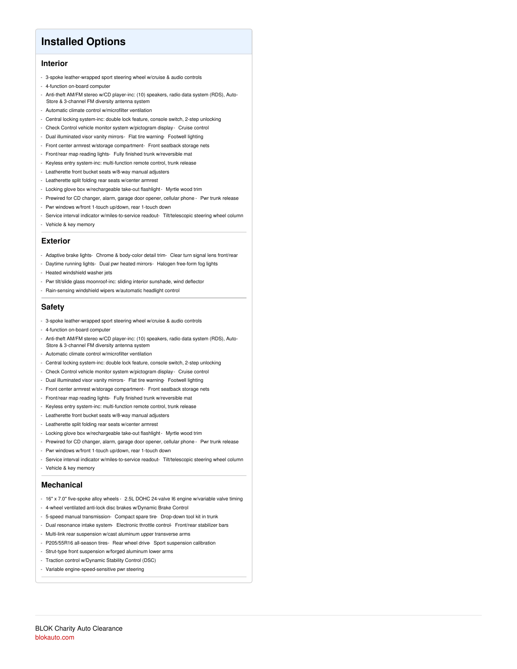### **Installed Options**

#### **Interior**

- 3-spoke leather-wrapped sport steering wheel w/cruise & audio controls
- 4-function on-board computer
- Anti-theft AM/FM stereo w/CD player-inc: (10) speakers, radio data system (RDS), Auto-Store & 3-channel FM diversity antenna system
- Automatic climate control w/microfilter ventilation
- Central locking system-inc: double lock feature, console switch, 2-step unlocking
- Check Control vehicle monitor system w/pictogram display- Cruise control
- Dual illuminated visor vanity mirrors- Flat tire warning- Footwell lighting
- Front center armrest w/storage compartment- Front seatback storage nets
- Front/rear map reading lights- Fully finished trunk w/reversible mat
- Keyless entry system-inc: multi-function remote control, trunk release
- Leatherette front bucket seats w/8-way manual adjusters
- Leatherette split folding rear seats w/center armrest
- Locking glove box w/rechargeable take-out flashlight- Myrtle wood trim
- Prewired for CD changer, alarm, garage door opener, cellular phone Pwr trunk release
- Pwr windows w/front 1-touch up/down, rear 1-touch down
- Service interval indicator w/miles-to-service readout- Tilt/telescopic steering wheel column
- Vehicle & key memory

#### **Exterior**

- Adaptive brake lights- Chrome & body-color detail trim- Clear turn signal lens front/rear
- Daytime running lights- Dual pwr heated mirrors- Halogen free-form fog lights
- Heated windshield washer jets
- Pwr tilt/slide glass moonroof-inc: sliding interior sunshade, wind deflector
- Rain-sensing windshield wipers w/automatic headlight control

#### **Safety**

- 3-spoke leather-wrapped sport steering wheel w/cruise & audio controls
- 4-function on-board computer
- Anti-theft AM/FM stereo w/CD player-inc: (10) speakers, radio data system (RDS), Auto-Store & 3-channel FM diversity antenna system
- Automatic climate control w/microfilter ventilation
- Central locking system-inc: double lock feature, console switch, 2-step unlocking
- Check Control vehicle monitor system w/pictogram display- Cruise control
- Dual illuminated visor vanity mirrors- Flat tire warning- Footwell lighting
- Front center armrest w/storage compartment- Front seatback storage nets
- Front/rear map reading lights- Fully finished trunk w/reversible mat
- Keyless entry system-inc: multi-function remote control, trunk release
- Leatherette front bucket seats w/8-way manual adjusters
- Leatherette split folding rear seats w/center armrest
- Locking glove box w/rechargeable take-out flashlight- Myrtle wood trim
- Prewired for CD changer, alarm, garage door opener, cellular phone Pwr trunk release
- Pwr windows w/front 1-touch up/down, rear 1-touch down
- Service interval indicator w/miles-to-service readout- Tilt/telescopic steering wheel column
- Vehicle & key memory

#### **Mechanical**

- 16" x 7.0" five-spoke alloy wheels 2.5L DOHC 24-valve I6 engine w/variable valve timing
- 4-wheel ventilated anti-lock disc brakes w/Dynamic Brake Control
- 5-speed manual transmission- Compact spare tire- Drop-down tool kit in trunk
- Dual resonance intake system- Electronic throttle control- Front/rear stabilizer bars
- Multi-link rear suspension w/cast aluminum upper transverse arms
- P205/55R16 all-season tires- Rear wheel drive- Sport suspension calibration
- Strut-type front suspension w/forged aluminum lower arms
- Traction control w/Dynamic Stability Control (DSC)
- Variable engine-speed-sensitive pwr steering